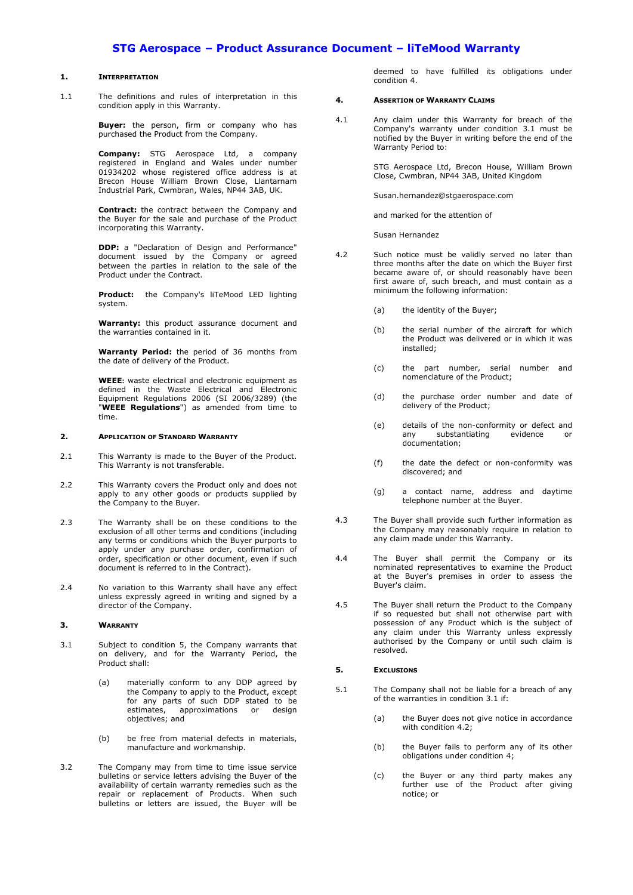# **STG Aerospace – Product Assurance Document – liTeMood Warranty**

#### **1. INTERPRETATION**

1.1 The definitions and rules of interpretation in this condition apply in this Warranty.

> **Buyer:** the person, firm or company who has purchased the Product from the Company.

> **Company:** STG Aerospace Ltd, a company registered in England and Wales under number 01934202 whose registered office address is at Brecon House William Brown Close, Llantarnam Industrial Park, Cwmbran, Wales, NP44 3AB, UK.

> **Contract:** the contract between the Company and the Buyer for the sale and purchase of the Product incorporating this Warranty.

> **DDP:** a "Declaration of Design and Performance" document issued by the Company or agreed between the parties in relation to the sale of the Product under the Contract.

> **Product:** the Company's liTeMood LED lighting system.

> **Warranty:** this product assurance document and the warranties contained in it.

> **Warranty Period:** the period of 36 months from the date of delivery of the Product.

> **WEEE:** waste electrical and electronic equipment as defined in the Waste Electrical and Electronic Equipment Regulations 2006 (SI 2006/3289) (the "**WEEE Regulations**") as amended from time to time.

### **2. APPLICATION OF STANDARD WARRANTY**

- 2.1 This Warranty is made to the Buyer of the Product. This Warranty is not transferable.
- 2.2 This Warranty covers the Product only and does not apply to any other goods or products supplied by the Company to the Buyer.
- 2.3 The Warranty shall be on these conditions to the exclusion of all other terms and conditions (including any terms or conditions which the Buyer purports to any terms of the purchase order, confirmation of order, specification or other document, even if such document is referred to in the Contract).
- 2.4 No variation to this Warranty shall have any effect unless expressly agreed in writing and signed by a director of the Company.

### **3. WARRANTY**

- <span id="page-0-2"></span>3.1 Subject to condition [5,](#page-0-0) the Company warrants that on delivery, and for the Warranty Period, the Product shall:
	- (a) materially conform to any DDP agreed by the Company to apply to the Product, except for any parts of such DDP stated to be estimates, approximations or design objectives; and
	- (b) be free from material defects in materials, manufacture and workmanship.
- 3.2 The Company may from time to time issue service bulletins or service letters advising the Buyer of the availability of certain warranty remedies such as the repair or replacement of Products. When such bulletins or letters are issued, the Buyer will be

deemed to have fulfilled its obligations under condition [4.](#page-0-1)

#### <span id="page-0-1"></span>**4. ASSERTION OF WARRANTY CLAIMS**

4.1 Any claim under this Warranty for breach of the Company's warranty under condition [3.1](#page-0-2) must be notified by the Buyer in writing before the end of the Warranty Period to:

> STG Aerospace Ltd, Brecon House, William Brown Close, Cwmbran, NP44 3AB, United Kingdom

Susan.hernandez@stgaerospace.com

and marked for the attention of

Susan Hernandez

- <span id="page-0-3"></span>4.2 Such notice must be validly served no later than three months after the date on which the Buyer first became aware of, or should reasonably have been first aware of, such breach, and must contain as a minimum the following information:
	- (a) the identity of the Buyer;
	- (b) the serial number of the aircraft for which the Product was delivered or in which it was installed;
	- (c) the part number, serial number and nomenclature of the Product;
	- (d) the purchase order number and date of delivery of the Product;
	- (e) details of the non-conformity or defect and substantiating evidence or documentation;
	- (f) the date the defect or non-conformity was discovered; and
	- (g) a contact name, address and daytime telephone number at the Buyer.
- 4.3 The Buyer shall provide such further information as the Company may reasonably require in relation to any claim made under this Warranty.
- 4.4 The Buyer shall permit the Company or its nominated representatives to examine the Product at the Buyer's premises in order to assess the Buyer's claim.
- <span id="page-0-4"></span>4.5 The Buyer shall return the Product to the Company if so requested but shall not otherwise part with possession of any Product which is the subject of any claim under this Warranty unless expressly authorised by the Company or until such claim is resolved.

#### <span id="page-0-0"></span>**5. EXCLUSIONS**

- 5.1 The Company shall not be liable for a breach of any of the warranties in condition [3.1](#page-0-2) if:
	- (a) the Buyer does not give notice in accordance with condition [4.2;](#page-0-3)
	- (b) the Buyer fails to perform any of its other obligations under condition [4;](#page-0-1)
	- (c) the Buyer or any third party makes any further use of the Product after giving notice; or